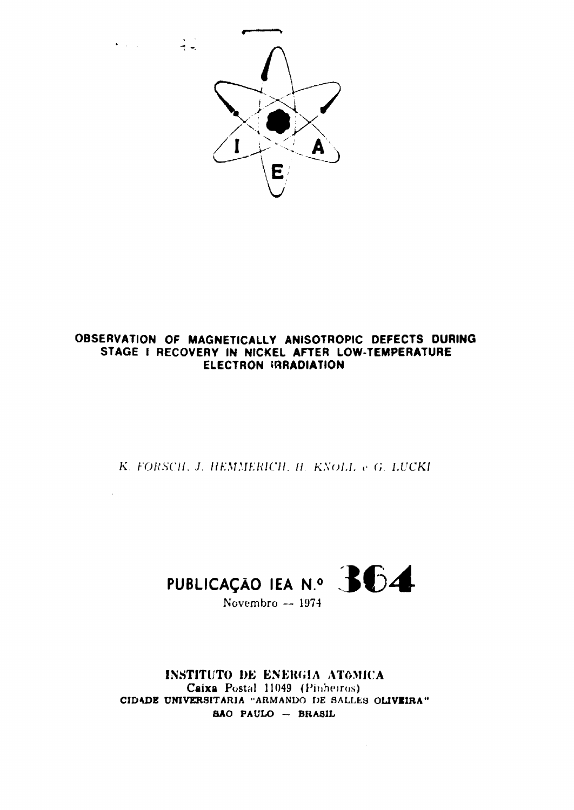

 $\bullet$  ,  $\downarrow$  ,  $\downarrow$  ,  $\downarrow$  ,  $\downarrow$  ,  $\downarrow$ 

 $\mathbb{R}^2$ 

# OBSERVATION OF MAGNETICALLY ANISOTROPIC DEFECTS DURING STAGE I RECOVERY IN NICKEL AFTER LOW-TEMPERATURE **ELECTRON IRRADIATION**

K. FORSCH, J. HEMMERICH, H. KNOLL e G. LUCKI



INSTITUTO DE ENERGIA ATOMICA Caixa Postal 11049 (Pinherros) CIDADE UNIVERSITARIA "ARMANDO DE SALLES OLIVEIRA" SÃO PAULO - BRASIL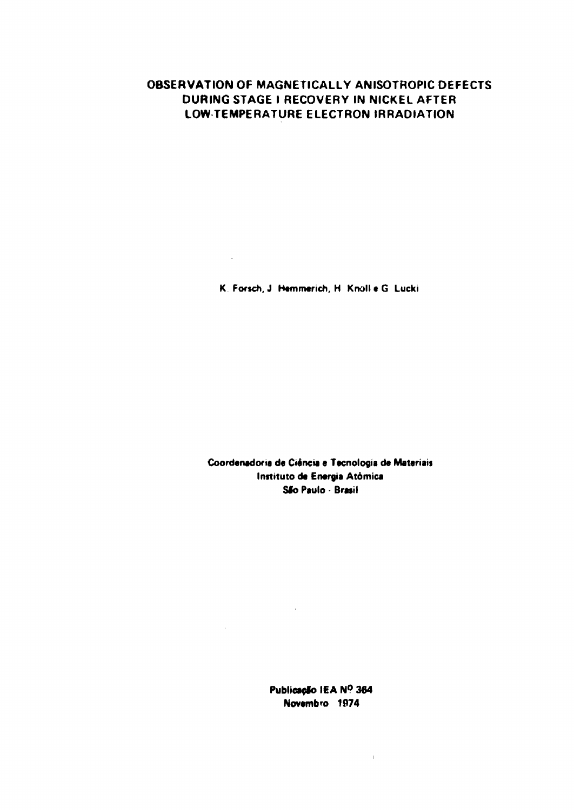# **OBSERVATION OF MAGNETICALLY ANISOTROPIC DEFECTS DURING STAGE I RECOVERY IN NICKEL AFTER LOW TEMPERATURE ELECTRON IRRADIATION**

K. Forsch, J. Hemmerich, H. Knoll e G. Lucki.

 $\sim 10^{-10}$ 

Coordenadoria de Ciência e Tecnologia de Materiais Instituto **da Energia** Atômica **Sfo** Paulo - **Brasil**

> **Publicação IEA N° 364 Novembro** 1074

> > $\mathbf{1}^{\mathbf{1}}$

 $\sim 10^{11}$ 

 $\sim 10^{-10}$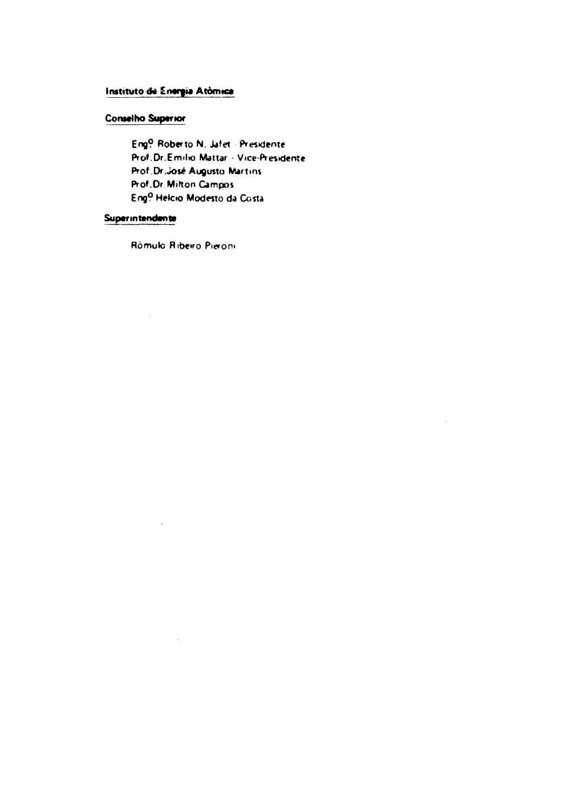# Instituto de Energia Atômica

# **Conseito Superior**

Eng<sup>0</sup> Roberto N. Jafet - Presidente Prof.Dr.Emilio Mattar - Vice-Presidente Prof. Dr. José Augusto Martins Prof.Dr.Milton Campos Eng<sup>o</sup> Helcio Modesto da Costa

 $\ddot{\phantom{a}}$ 

# Superintendente

 $\hat{\mathcal{A}}$ 

Rómulo Ribeiro Pieroni

 $\sim$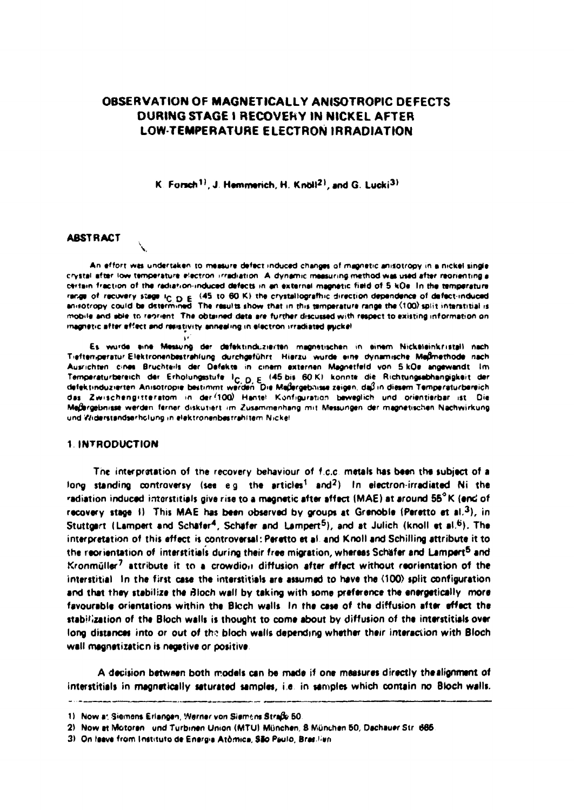# OBSERVATION OF MAGNETICALLY ANISOTROPIC DEFECTS DURING STAGE I RECOVERY IN NICKEL AFTER **LOW-TEMPERATURE ELECTRON IRRADIATION**

K. Forsch<sup>11</sup>, J. Hemmerich, H. Knoll<sup>21</sup>, and G. Lucki<sup>31</sup>

## **ABSTRACT**

An effort was undertaken to measure defect induced changes of magnetic anisotropy in a nickel single crystal after low temperature electron irradiation. A dynamic measuring method was used after reorienting a certain fraction of the radiation-induced defects in an external magnetic field of 5 kQe. In the temperature range of recovery stage  $i_{C,D} \in (45, t0, 60, K)$  the crystallografhic direction dependence of defect-induced<br>enisotropy could be distermined. The results show that in this temperature range the (100) split interstitial is mobile and able to reprient. The obtained data are further discussed with respect to existing information on inagnatic after effect and resistivity annealing in electron irradiated puckel.

Es wurde eine Messung der defektinduzierten magnetischen in einem Nickeleinkristall nach Tieftemperatur Elektronenbestrahlung durchgeführt. Hierzu wurde eine dynamische Meßmethode nach Ausrichten cines Bruchteils der Defekte in cinem externen Magnetfeld von 5 kDe angewandt. Im Temperaturbereich der Erholungsstufe 1<sub>C, D, E</sub> (45 bis 60 K) konnte die Richtungssbhangigkeit der defektinduzierten Anisotropie bestimmt werden. Die Meßergebnisse zeigen, daß in diesem Temperaturbereich das Zwischengitteratom in der (100) Hantel Konfiguration beweglich und orientierbar ist. Die Meßergebnisse werden ferner diskutiert im Zusammenhang mit Messungen der magnetischen Nachwirkung und Widerstandserholung in elektronenbestrahltem Nickel

## 1 INTRODUCTION

The interpretation of the recovery behaviour of f.c.c. metals has been the subject of a long standing controversy (see e.g. the articles<sup>1</sup> and<sup>2</sup>) In electron-irradiated Ni the radiation induced interstitials give rise to a magnetic after affect (MAE) at around 55°K (end of recovery stage 1). This MAE has been observed by groups at Grenoble (Peretto et al.<sup>3</sup>), in Stuttgart (Lampert and Schäfer<sup>4</sup>, Schäfer and Lampert<sup>5</sup>), and at Julich (knoll et al.<sup>6</sup>). The interpretation of this effect is controversal: Peretto et al. and Knoll and Schilling attribute it to the reorientation of interstitials during their free migration, whereas Schäfer and Lampert<sup>5</sup> and Kronmüller<sup>7</sup> attribute it to a crowdion diffusion after effect without reorientation of the interstitial In the first case the interstitials are assumed to have the (100) split configuration and that they stabilize the Bloch wall by taking with some preference the energetically more favourable orientations within the Bloch walls. In the case of the diffusion after effect the stabilization of the Bloch walls is thought to come about by diffusion of the interstitials over long distances into or out of the bloch walls depending whether their interaction with Bloch wall magnetization is negative or positive.

A decision between both models can be made if one measures directly the alignment of interstitials in magnetically saturated samples, i.e. in samples which contain no Bloch walls.

<sup>1)</sup> Now at Siemens Erlangen, Werner von Siemens Straße 50.

<sup>2)</sup> Now at Motoren und Turbinen Union (MTU) München, 8 München 50, Dachauer Str. 665

<sup>3)</sup> On leave from Instituto de Energia Atômica, São Paulo, Brasilien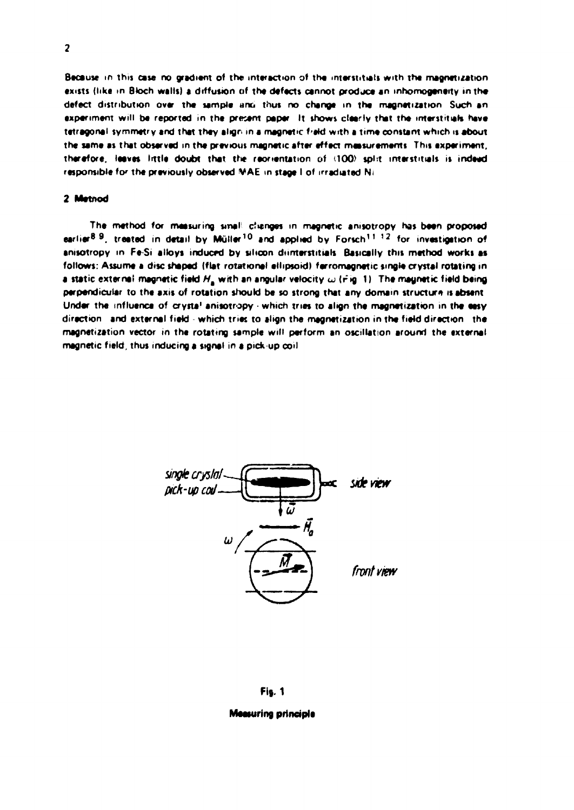Because in this case no gradient of the interaction of the interstitials with the magnetization **exists (like m Btoch walls) a diffusion of the defects cannot produce an mhomogeneity in the** defect distribution over the sample and thus no change in the magnetization. Such an experiment will be reported in the present paper. It shows clearly that the interstitials have tetragonal symmetry and that they align in a magnetic field with a time constant which is about **the same as that observed in the previous magnetic after effect measurements This experiment, therefore, leaves little doubt that the reorientation of 100) spirt interstitial» is indeed responsible for the previously observed VAE m stage I of irradiated Ni**

## **2 Metnod**

**The method for measuring tineI ctanges m magnetic amsotropy has been proposed earlier<sup>89</sup> , treated in detail by Müller<sup>10</sup> and applied by Forsch<sup>1</sup> ' ' <sup>2</sup> for investigation of** anisotropy in Fe-Si alloys induced by silicon drinterstitials. Basically this method works as **follows: Assume a disc shaped (flat rotational ellipsoid! ferromagnetic single crystal rotating in a static external magnetic field**  $H_n$  **with an angular velocity**  $\omega$  **(rig. 1) The magnetic field being perpendicular to the axis of rotation should be so strong that any domam structure is absent Under the influence of crysta<sup>1</sup> anisotropy - which tries to align the magnetization in the easy direction and external fiekJ which tnet to align the magnetization in the fietd direction the magnetization vector in the rotating sample will perform an oscillation around the «xternal magnetic field, thus inducing a signal in a pick up coil**



## **Fig. 1**

### **Measuring principia**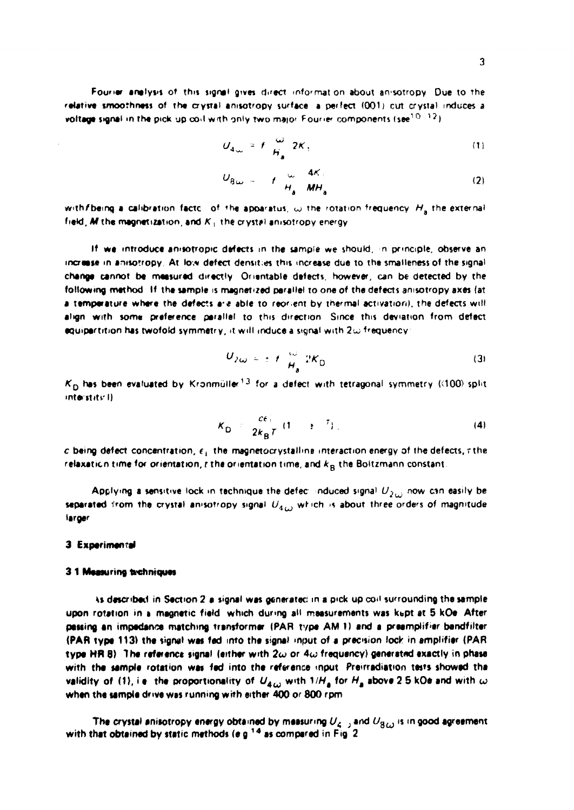Fourier anelysis of this signal gives direct information about anisotropy. Due to the **relative smoothness of the crystal anisofopv surface a perfect (001) cut crystal induces a**  $\text{voltage signal in the pick up could with only two major Fourier components (see  $^{10-12}$$ 

$$
U_{4\infty} = f \frac{\omega}{H_a} 2K, \qquad (1)
$$

$$
U_{8\omega} = -t \frac{\omega}{H_a} \frac{4K}{MH_a} \tag{2}
$$

with f being a calibration factc of the apparatus,  $\omega$  the rotation frequency  $H_a$  the external field, M the magnetization, and K<sub>1</sub> the crystal anisotropy energy

**If we introduce anisotropic defects in the sample we should, n principle, observe an increase m antsorropy At low defect densities this increase due to the smaileness of the signal change cannot be measured directly Onentable defects, however, can be detected by the** following method. If the sample is magnetized parallel to one of the defects anisotropy axes (at a temperature where the defects are able to reorient by thermal activation), the defects will **align with some preference parallel to this direction Since this deviation from defect equipartition has twofold symmetry, it will induce a signal wtth 2w frequency**

$$
U_{2\omega} = \pm f \frac{\omega}{H_a} 2K_0 \tag{3}
$$

 $K^{}_{\rm D}$  has been evaluated by Kronmüller $^{13}$  for a defect with tetragonal symmetry (<100) split **intet»tttt.'l)**

$$
K_{\mathsf{D}} = \frac{ce_1}{2k_{\mathsf{B}}T} (1 \rightarrow T). \tag{4}
$$

 $c$  being defect concentration,  $\epsilon_1$  the magnetocrystalling interaction energy of the defects,  $\tau$  the relaxation time for orientation,  $r$  the orientation time, and  $k_{\rm B}$  the Boltzmann constant.

Applying a sensitive lock in technique the defect induced signal  $U_{2\omega}$  now can easily be **separated from the crystal amsotropy signal Uiu wr ich n about three orders of magnitude larger**

## **3 Experimental**

#### **3 1 Measuring tethniques**

**ts desaibed in Section 2 a signal was generated m a pick up cod surrounding the sample** upon rotation in a magnetic field which during all maasurements was kept at 5 kOe. After passing an impedance matching transformer (PAR type AM 1) and a preamplifier bandfilter **(PAR type 113) the signal was fed into the signal input of a precision lock in amplifier (PAR type HR 8) lhe reference signal (either wth 2u or 4w frequency) generated exactly in phase** with the sample rotation was fed into the reference input. Preirradiation tests showed the **validity of (1), i.e. the proportionality of**  $U_{\bm{4},\omega}$  **with 1/H<sub>a</sub> for**  $H_{\bm{a}}$  **above 2.5 kOe and with**  $\omega$ when the sample drive was running with either 400 or 800 rpm

The crystal anisotropy energy obtained by measuring  $U_4$ <sub>2</sub> and  $U_3$ <sub>*G*</sub> is in good agreement **with that obtained by static methods (a g<sup>1</sup> <sup>4</sup> as compared in Fig 2**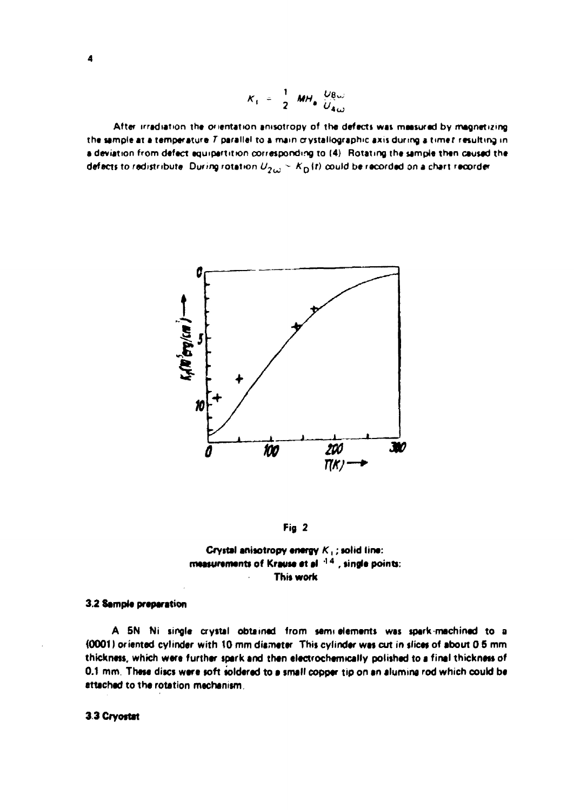$$
K_1 = \frac{1}{2} M H_0 \frac{U_{\text{B}}}{U_{\text{A}}}
$$

After irradiation the orientation anisotropy of the defects was measured by magnetizing **the sample at a temperature T parallel to a mam crystallography axis during « timer resulting in** a deviation from defect equipertition corresponding to (4). Rotating the sample then caused the **defects to redistribute** During rotation  $U_{2\omega}$  ~  $K_{\text{D}}(t)$  could be recorded on a chart recorder



**Fig 2**



## **3,2 Sample preparation**

**A 5N Ni single crystal obtained from semi elements was spark machined to a {0001) oriented cylinder with tO mm diameter This cylinder was cut in slice\* of about 0 S mm thickness, which were further spark and then electrochemically polished to a final thickness of 0.1 mm. These discs were soft soldered to a small copper tip on an alumina rod which could be attached to the rotation mechanism**

**3 3 Cryostat**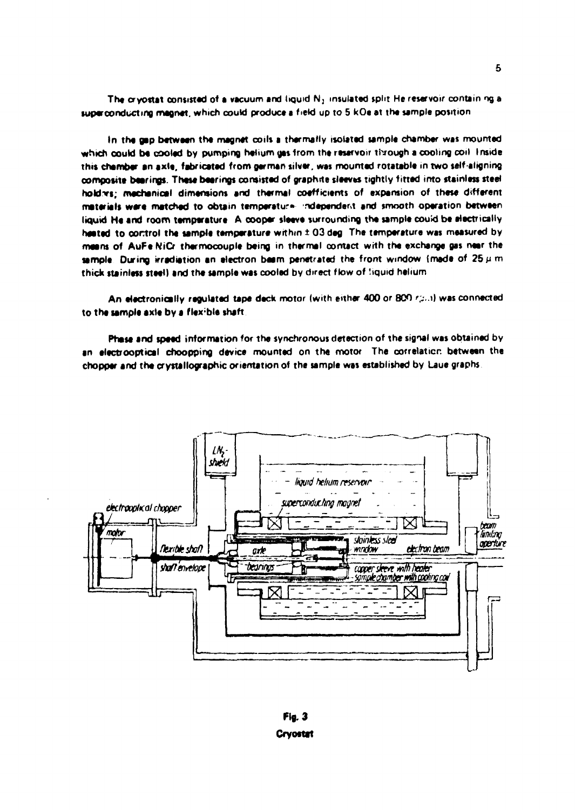The cryostat consisted of a vacuum and liquid N<sub>2</sub> insulated split He reservoir contain ng a superconducting magnet, which could produce a field up to 5 kOe at the sample position

**in the gap between the magnet coils a thermally isolated sample chamber was mounted which could b« cooled by pumping helium gas from the reservoir through a cooling coil Inside this chamber an axle, fabricated from german silver, was mounted rotatable in two self aligning** composite bearings. These bearings consisted of graphite sleeves tightly fitted into stainless steel **holdvs; mechanical dimensions and thermal coefficients of expansion of these different materials ware matched to obtain temperature ndependert and smooth operation between liquid He and room temperature A cooper sleeve surrounding the sample could be electrically** heated to control the sample temperature within  $\pm$  03 deg. The temperature was measured by **means of AuFe NiCr thermocouple being in thermal contact with the exchange gas near the** sample. During irradiation an electron beam penetrated the front window (made of  $25\,\mu$  m) **thick stainless steel) and the sample was cooled by direct flow of Squid helium**

An electronically regulated tape deck motor (with either 400 or 800 rp.n) was connected **to the sample axte by a flexible shaft**

**Phase and speed information for the synchronous detection of the signal was obtained by** an electrooptical choopping device mounted on the motor. The correlation between the chopper and the crystallographic orientation of the sample was established by Laue graphs.



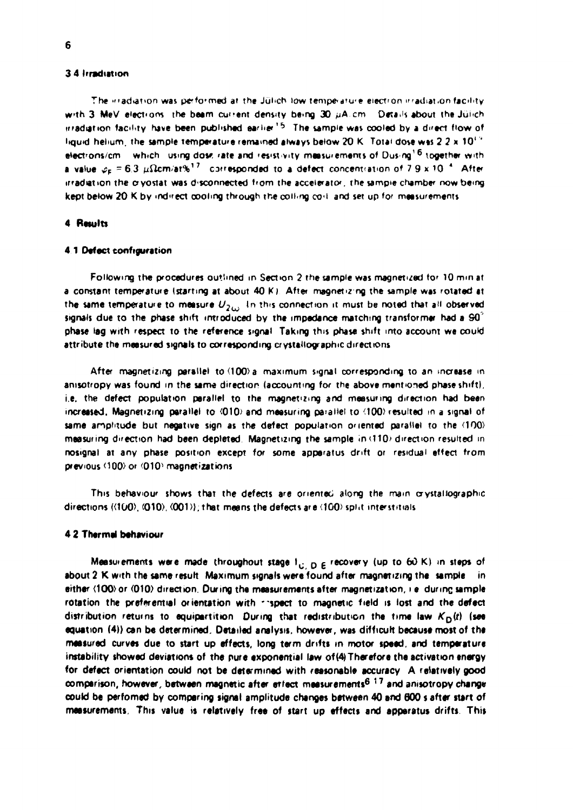## **3 4 Irradiation**

The xiradiation was performed at the Jülich low temperature electron irradiation facility with 3 MeV elections, the beam cuttent density being 30  $\mu$ A.cm Details about the Jülich irradiation facility have been published earlier<sup>15</sup>. The sample was cooled by a direct flow of liquid helium, the sample temperature remained always below 20 K. Total dose was 2.2 x 10<sup>1.9</sup> **etectrons/cm which uvng dose <ate and 'es'Stvity measurements of Dusng<sup>1</sup> <sup>6</sup> together with a** value  $\varphi_{\text{F}}$  = 6.3  $\mu\Omega$ cm/at% $^{17}$  -corresponded to a defect concentration of 7.9 x 10  $^{4}$  . After **irradiation the o-yostat was disconnected from the accelerator, the sampie chamber now being** kept below 20 K by indirect cooling through the colling coil and set up for measurements

### **4 Results**

### **4 1 Defect configuration**

**Following the procedures outlined in Section 2 the sample was magnetized tor 10 mm at** a constant temperature (starting at about 40 K). After magnetizing the sample was rotated at **the same temperatee to measure U2u> ' n tn ' s connection it must be noted that all observed signals due to the phase shift introduced by the impedance matching transformer had a 90 ' phase lag with respect to the reference signal Taking this phase shift into account we could** attribute the measured signals to corresponding crystallographic directions

After magnetizing parallel to (100) a maximum signal corresponding to an increase in **amsotropy was found in the same direction (accounting for the above mentioned phase shift), i.e. the defect population parallel to the magnetizing and measuring direction had been** increased. Magnetizing parallel to  $\langle 010 \rangle$  and measuring parallel to  $\langle 100 \rangle$  resulted in a signal of **same amplitude but negative sign as the defect population oriented parallel to the (100) measuring direction had been depleted Magnetizing the sample in <110> direction resulted m nosignal at any phase position except for some apparatus drift or residual effect from previous <100> or '010' magnetizations**

**This behaviour shows that the defects are oriented along the mam crystallography** directions (<100), (010), (001)); that means the defects are <100) split interstitials

## **4.2 Thermal behaviour**

**Measurements were made throughout stage l<sub>idene</sub> recovery (up to 60 K) in steps of** about 2 K with the same result. Maximum signals were found after magnetizing the sample in **either <100>or (010) direction During the measurements after magnetization, i e dunnc sample rotation the preferential orientation with \*\*spect to magnetic field is lost and the defect** distribution returns to equipartition. During that redistribution the time law  $K_D(t)$  (see **equation (4k) can be determined. Detailed analysis, however, was difficult because most of the measured curves due to start up effects, long term drifts in motor speed, and temperature instability showed deviations of the pure exponential law of (4)Therefore the activation energy for defect orientation could not be determined with reasonable accuracy A relatively good comparison, however, between magnetic after erfect measurements<sup>6</sup> \*'<sup>7</sup> and anisotropy change could be perfomed by comparing signal amplitude changes between 40 and 600 s after surt of measurements This value is relatively free of start up effects and apparatus drifts This**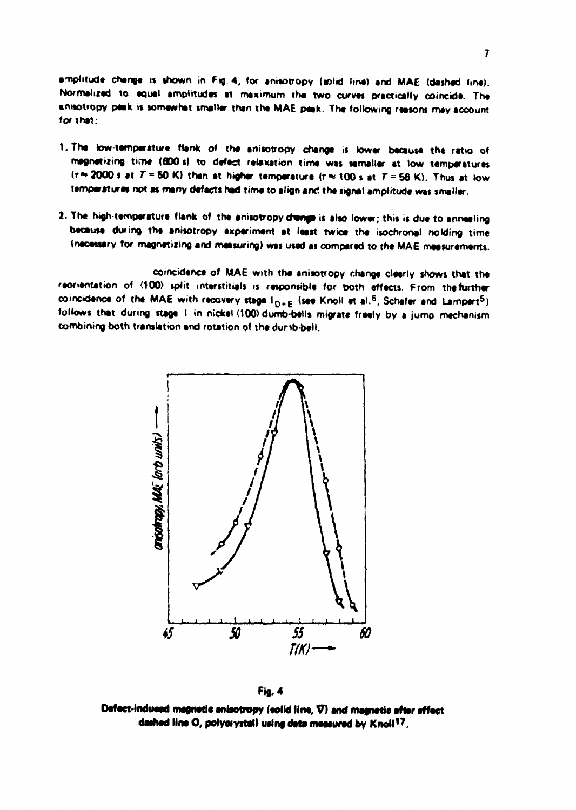amplitude change is shown in Fig. 4, for anisotropy (solid line) and MAE (dashed line). **Normalised to equal amplitudes at maximum tha two curvas practically coincida. Tha anttotropy paak is somewhat smallar than tha MAE peak. Tha following raasons may account for thai:**

- 1. The low-temperature flank of the anisotropy change is lower because the ratio of **magnetizing tiroa (800 s) to dafact relaxation tima was samallar at tow tamparaturas**  $(r \approx 2000 \text{ s at } T = 50 \text{ K})$  than at higher temperature  $(r \approx 100 \text{ s at } T \approx 56 \text{ K})$ . Thus at low **temperature» not at many dafacts had tima to align anc! tha signal amplrtuda was smallar.**
- 2. The high-temperature flank of the anisotropy disings is also lower; this is due to annealing **bacausa du»ing tha anisotropy axparimant at laast twica tha isochronal holding time Inacassary for magnatizing and maasuring) was usad as comparad to tha MAE maasuramants.**

**coincidanca of MAE with tha anisotropy changa daarly shows that tha** raorientation of <100) split interstitials is responsible for both effects. From the further  $\text{coincidence of the MAE with recovery stage I}_{\text{D+E}}$  (see Knoll at a).<sup>6</sup>, Schafer and Lampert<sup>5</sup>) follows that during stage 1 in nickel <100> dumb-bells migrate freely by a jump mechanism **combining both translation and rotation of tha dunb-oall.**



**Fig. 4**

Defect-induced magnetic anisotropy (solid line, V) and magnetic after affect dashed line O, polyoïystal) using data measured by Knoll<sup>17</sup>.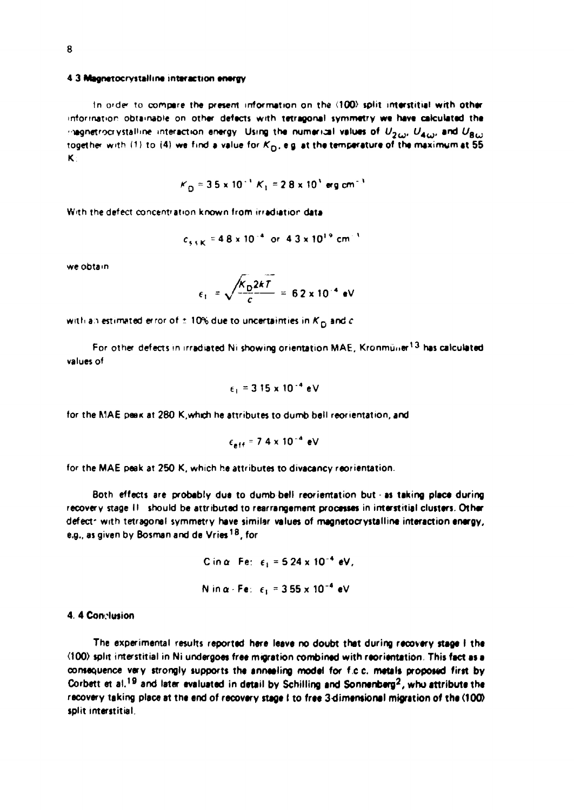### **4 3 Magnetocrystalline interaction energy**

**In order To compere the present information on the (100) split interstitial with other information obtamaote on other defects with tetragonal symmetry we have calculated the**  $\sim$  legnetrocrystalline interaction energy. Using the numerical values of  $U_{2\omega}$ ,  $U_{4\omega}$ , and  $U_{8\omega}$ **together wtth (1) to {4} w« find a value for KQ. eg et the temperature of the maximum at 55 K**

$$
K_{\Omega}
$$
 = 3.5 x 10<sup>-1</sup> K<sub>1</sub> = 2.8 x 10<sup>3</sup> erg cm<sup>-3</sup>

**With the defect concentration known from irrediatior data**

$$
c_{\text{S}5\text{K}} = 4.8 \times 10^{-4} \text{ or } 4.3 \times 10^{19} \text{ cm}^{-3}
$$

**we obtam**

$$
\epsilon_1 = \sqrt{\frac{K_D 2kT}{c}} = 62 \times 10^{-4} \text{ eV}
$$

with an estimated error of  $t$  **10% due to uncertainties in**  $K_{\Omega}$  **and**  $c$ 

**For other defects in irradiated Ni showing orientation MAE, Kronmüner<sup>13</sup> has calculated values of**

$$
\epsilon_1 = 3.15 \times 10^{-4} eV
$$

for the MAE paek at 280 K,which he attributes to dumb bell reorientation, and

$$
\epsilon_{\text{eff}} = 7.4 \times 10^{-4} \text{ eV}
$$

for the MAE peak at 250 K, which he attributes to divacancy reorientation.

**Both effects are probably due to dumb bell reorierrtation but - as taking place during recovery stage II should be attributed to rearrangement processes in interstitial clusters. Other** defect<sup>-</sup> with tetragonal symmetry have similar values of magnetocrystalline interaction energy, **e,g., as given by Bosmanand de Vries1 8 ,for**

C in 
$$
\alpha
$$
 Fe:  $\epsilon_1 = 5.24 \times 10^{-4}$  eV,  
N in  $\alpha$ ·Fe:  $\epsilon_1 = 3.55 \times 10^{-4}$  eV

**4. 4 Conclusion**

**The experimental results reported here leave no doubt that during recovery stage I the (100) split interstitial in Ni undergoes free migration combined with reorientation This fact asa** consequence very strongly supports the annealing model for f.c.c. metals proposed first by **Corbett et a). <sup>1</sup> <sup>9</sup> and later evaluated in detail by Schilling and Sonnenberg<sup>2</sup> , who attribute the** recovery taking place at the end of recovery stage I to free 3-dimensional migration of the (100) **split interstitial.**